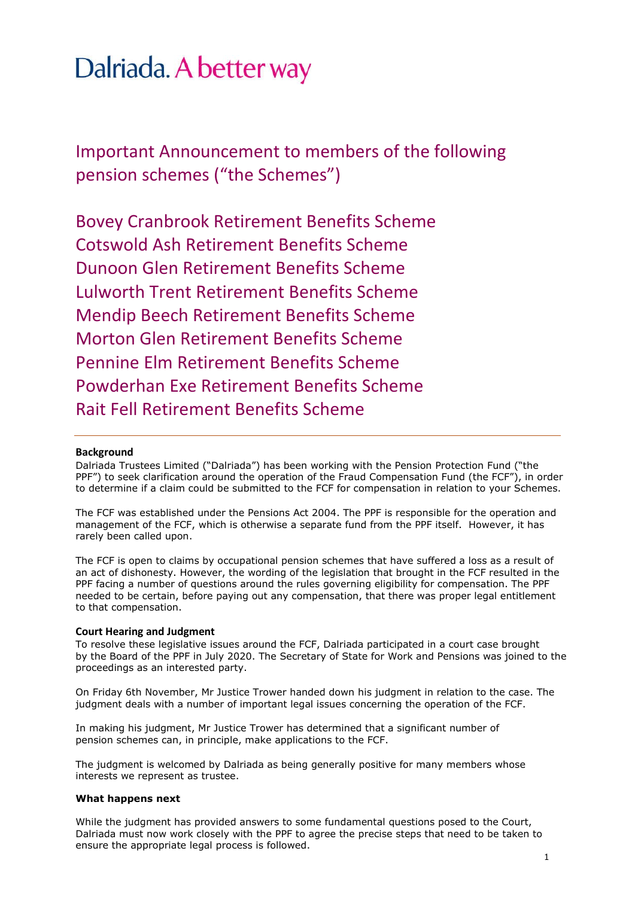# Dalriada. A better way

Important Announcement to members of the following pension schemes ("the Schemes")

Bovey Cranbrook Retirement Benefits Scheme Cotswold Ash Retirement Benefits Scheme Dunoon Glen Retirement Benefits Scheme Lulworth Trent Retirement Benefits Scheme Mendip Beech Retirement Benefits Scheme Morton Glen Retirement Benefits Scheme Pennine Elm Retirement Benefits Scheme Powderhan Exe Retirement Benefits Scheme Rait Fell Retirement Benefits Scheme

### **Background**

Dalriada Trustees Limited ("Dalriada") has been working with the Pension Protection Fund ("the PPF") to seek clarification around the operation of the Fraud Compensation Fund (the FCF"), in order to determine if a claim could be submitted to the FCF for compensation in relation to your Schemes.

The FCF was established under the Pensions Act 2004. The PPF is responsible for the operation and management of the FCF, which is otherwise a separate fund from the PPF itself. However, it has rarely been called upon.

The FCF is open to claims by occupational pension schemes that have suffered a loss as a result of an act of dishonesty. However, the wording of the legislation that brought in the FCF resulted in the PPF facing a number of questions around the rules governing eligibility for compensation. The PPF needed to be certain, before paying out any compensation, that there was proper legal entitlement to that compensation.

#### **Court Hearing and Judgment**

To resolve these legislative issues around the FCF, Dalriada participated in a court case brought by the Board of the PPF in July 2020. The Secretary of State for Work and Pensions was joined to the proceedings as an interested party.

On Friday 6th November, Mr Justice Trower handed down his judgment in relation to the case. The judgment deals with a number of important legal issues concerning the operation of the FCF.

In making his judgment, Mr Justice Trower has determined that a significant number of pension schemes can, in principle, make applications to the FCF.

The judgment is welcomed by Dalriada as being generally positive for many members whose interests we represent as trustee.

#### **What happens next**

While the judgment has provided answers to some fundamental questions posed to the Court, Dalriada must now work closely with the PPF to agree the precise steps that need to be taken to ensure the appropriate legal process is followed.